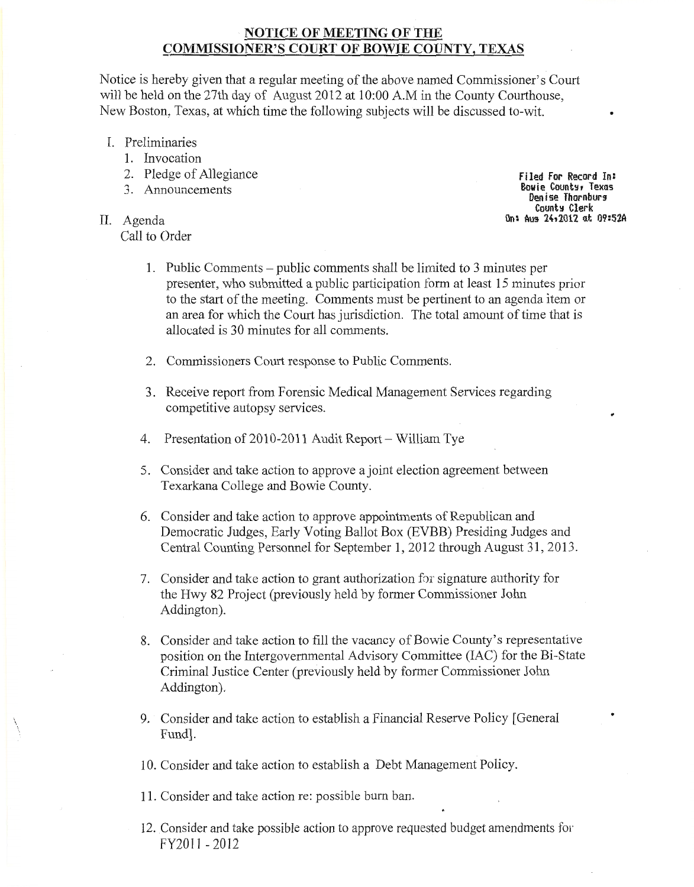# NOTICE OF MEETING OF THE COMMISSIONER'S COURT OF BOWIE COUNTY, TEXAS

Notice is hereby given that a regular meeting of the above named Commissioner's Court will be held on the 27th day of August 2012 at 10:00 A.M in the County Courthouse, New Boston, Texas, at which time the following subjects will be discussed to-wit.

- I. Preliminaries
	- 1. Invocation
	- 2. Pledge of Allegiance
	- 3. Announcements
- II. Agenda Call to Order

 $\overline{\phantom{a}}$ 

Filed For Record In: Eowie Countg, Texas Denise Thornburg<br>County Clerk On: Aus 24,2012 at 09:52A

- 1. Public Comments public comments shall be limited to 3 minutes per presenter, who submitted a public participation form at least 15 minutes prior to the start of the meeting. Comments must be pertinent to an agenda item or an area for which the Court has jurisdiction. The total amount of time that is allocated is 30 minutes for all comments.
- 2. Commissioners Court response to Public Comments.
- 3. Receive report from Forensic Medical Management Services regarding competitive autopsy services.
- 4. Presentation of 2010-2011 Audit Report- William Tye
- 5. Consider and take action to approve a joint election agreement between Texarkana College and Bowie County.
- 6. Consider and take action to approve appointments of Republican and Democratic Judges, Early Voting Ballot Box (EVBB) Presiding Judges and Central Counting Personnel for September 1, 2012 through August 31, 2013.
- 7. Consider and take action to grant authorization for signature authority for the Hwy 82 Project (previously held by former Commissioner John Addington).
- 8. Consider and take action to fill the vacancy of Bowie County's representative position on the Intergovernmental Advisory Committee (lAC) for the Bi-State Criminal Justice Center (previously held by former Commissioner John Addington).
- 9. Consider and take action to establish a Financial Reserve Policy [General Fund].
- 10. Consider and take action to establish a Debt Management Policy.
- 11. Consider and take action re: possible burn ban.
- 12. Consider and take possible action to approve requested budget amendments fol' FY2011 - 2012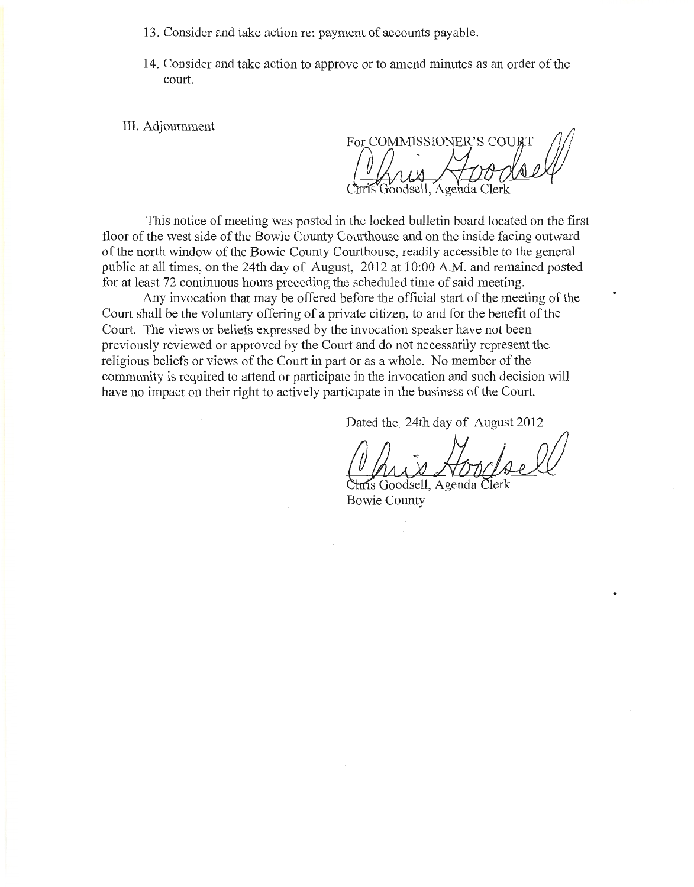- 13 . Consider and take action re: payment of accounts payable.
- 14. Consider and take action to approve or to amend minutes as an order of the court.

III. Adjournment

For COMMISSIONER'S COURT Goodsell, Agenda Clerk

This notice of meeting was posted in the locked bulletin board located on the first floor of the west side of the Bowie County Courthouse and on the inside facing outward of the north window of the Bowie County Courthouse, readily accessible to the general public at all times, on the 24th day of August, 2012 at 10:00 A.M. and remained posted for at least 72 continuous hours preceding the scheduled time of said meeting.

Any invocation that may be offered before the official start of the meeting of the Court shall be the voluntary offering of a private citizen, to and for the benefit of the Court. The views or beliefs expressed by the invocation speaker have not been previously reviewed or approved by the Court and do not necessarily represent the religious beliefs or views of the Court in part or as a whole. No member of the community is required to attend or participate in the invocation and such decision will have no impact on their right to actively participate in the business of the Court.

Dated the. 24th day of August 2012

IS Goodsell, Agenda Bowie County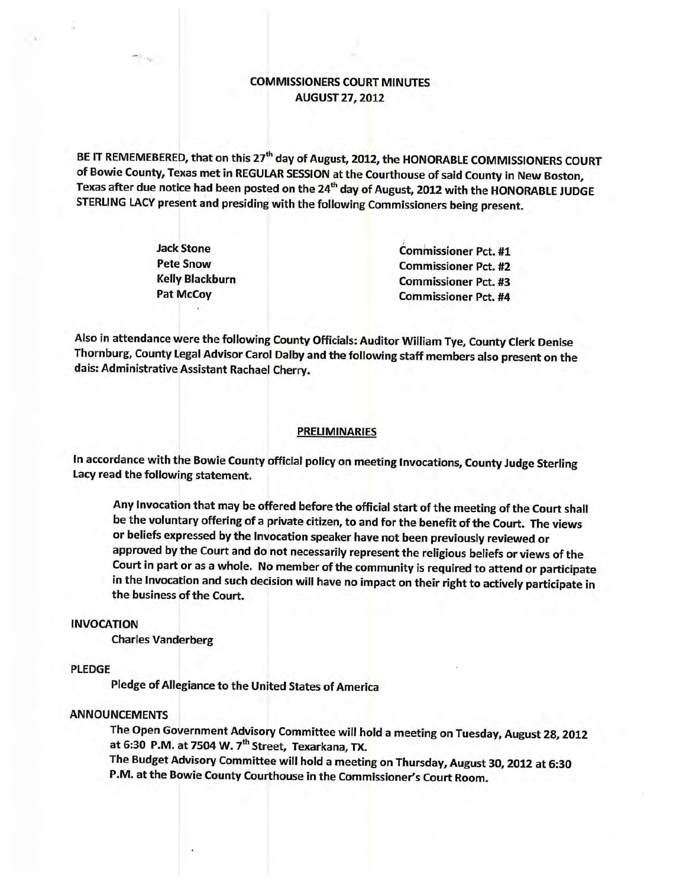# **COMMISSIONERS COURT MINUTES AUGUST 27, 2012**

BE IT REMEMEBERED, that on this 27<sup>th</sup> day of August, 2012, the HONORABLE COMMISSIONERS COURT of Bowie County, Texas met in REGULAR SESSION at the Courthouse of said County in New Boston, Texas after due notice had been posted on the 24<sup>th</sup> day of August, 2012 with the HONORABLE JUDGE STERLING LACY present and presiding with the following Commissioners being present.

| <b>Commissioner Pct. #1</b> |
|-----------------------------|
| <b>Commissioner Pct. #2</b> |
| <b>Commissioner Pct. #3</b> |
| <b>Commissioner Pct. #4</b> |
|                             |

Also in attendance were the following County Officials: Auditor William Tye, County Clerk Denise Thornburg, County Legal Advisor Carol Dalby and the following staff members also present on the dais: Administrative Assistant Rachael Cherry.

#### **PRELIMINARIES**

In accordance with the Bowie County official policy on meeting Invocations, County Judge Sterling Lacy read the following statement.

Any Invocation that may be offered before the official start of the meeting of the Court shall be the voluntary offering of a private citizen, to and for the benefit of the Court. The views or beliefs expressed by the Invocation speaker have not been previously reviewed or approved by the Court and do not necessarily represent the religious beliefs or views of the Court in part or as a whole. No member of the community is required to attend or participate in the Invocation and such decision will have no impact on their right to actively participate in the business of the Court.

### **INVOCATION**

**Charles Vanderberg** 

#### **PLEDGE**

Pledge of Allegiance to the United States of America

## **ANNOUNCEMENTS**

The Open Government Advisory Committee will hold a meeting on Tuesday, August 28, 2012 at 6:30 P.M. at 7504 W. 7<sup>th</sup> Street, Texarkana, TX.

The Budget Advisory Committee will hold a meeting on Thursday, August 30, 2012 at 6:30 P.M. at the Bowie County Courthouse in the Commissioner's Court Room.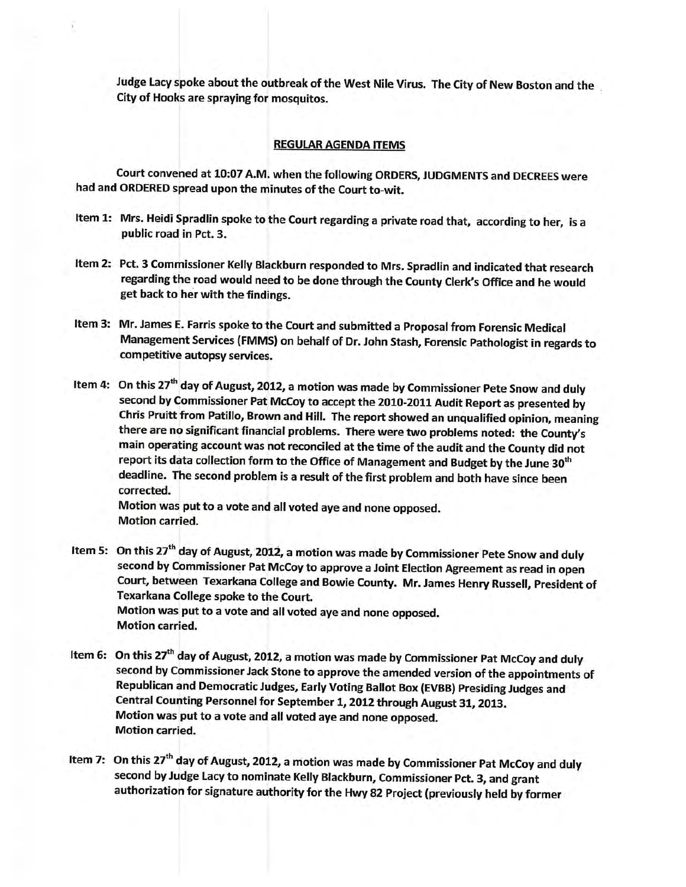Judge Lacy spoke about the outbreak of the West Nile Virus. The City of New Boston and the City of Hooks are spraying for mosquitos.

### **REGULAR AGENDA ITEMS**

Court convened at 10:07 A.M. when the following ORDERS, JUDGMENTS and DECREES were had and ORDERED spread upon the minutes of the Court to-wit.

- Item 1: Mrs. Heidi Spradlin spoke to the Court regarding a private road that, according to her, is a public road in Pct. 3.
- Item 2: Pct. 3 Commissioner Kelly Blackburn responded to Mrs. Spradlin and indicated that research regarding the road would need to be done through the County Clerk's Office and he would get back to her with the findings.
- Item 3: Mr. James E. Farris spoke to the Court and submitted a Proposal from Forensic Medical Management Services (FMMS) on behalf of Dr. John Stash, Forensic Pathologist in regards to competitive autopsy services.
- Item 4: On this 27<sup>th</sup> day of August, 2012, a motion was made by Commissioner Pete Snow and duly second by Commissioner Pat McCoy to accept the 2010-2011 Audit Report as presented by Chris Pruitt from Patillo, Brown and Hill. The report showed an unqualified opinion, meaning there are no significant financial problems. There were two problems noted: the County's main operating account was not reconciled at the time of the audit and the County did not report its data collection form to the Office of Management and Budget by the June 30<sup>th</sup> deadline. The second problem is a result of the first problem and both have since been corrected.

Motion was put to a vote and all voted aye and none opposed. **Motion carried.** 

- Item 5: On this 27<sup>th</sup> day of August, 2012, a motion was made by Commissioner Pete Snow and duly second by Commissioner Pat McCoy to approve a Joint Election Agreement as read in open Court, between Texarkana College and Bowie County. Mr. James Henry Russell, President of Texarkana College spoke to the Court. Motion was put to a vote and all voted aye and none opposed. **Motion carried.**
- Item 6: On this 27<sup>th</sup> day of August, 2012, a motion was made by Commissioner Pat McCoy and duly second by Commissioner Jack Stone to approve the amended version of the appointments of Republican and Democratic Judges, Early Voting Ballot Box (EVBB) Presiding Judges and Central Counting Personnel for September 1, 2012 through August 31, 2013. Motion was put to a vote and all voted aye and none opposed. **Motion carried.**
- Item 7: On this 27<sup>th</sup> day of August, 2012, a motion was made by Commissioner Pat McCoy and duly second by Judge Lacy to nominate Kelly Blackburn, Commissioner Pct. 3, and grant authorization for signature authority for the Hwy 82 Project (previously held by former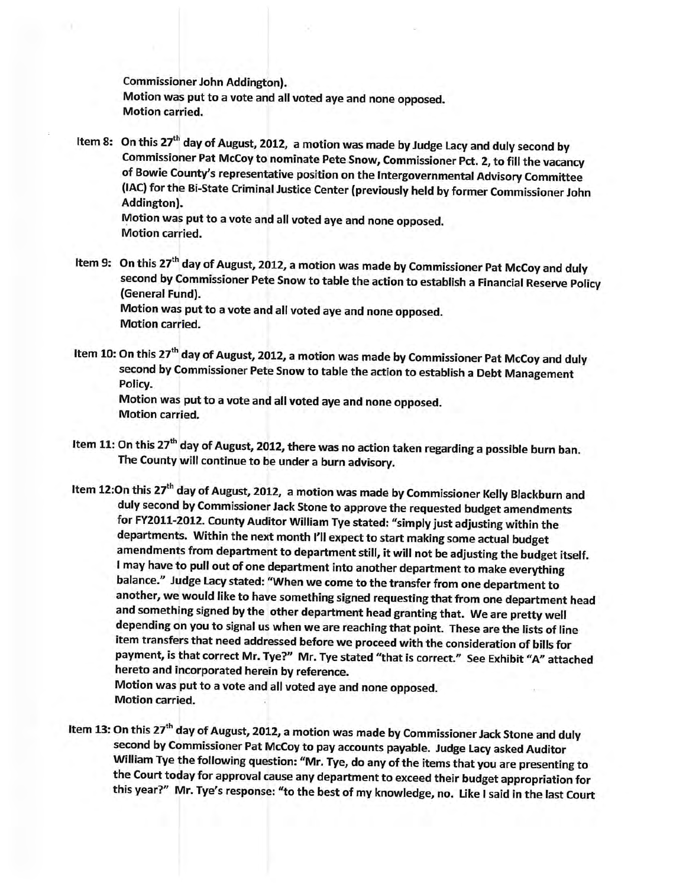**Commissioner John Addington).** Motion was put to a vote and all voted aye and none opposed. **Motion carried.** 

Item 8: On this 27<sup>th</sup> day of August, 2012, a motion was made by Judge Lacy and duly second by Commissioner Pat McCoy to nominate Pete Snow, Commissioner Pct. 2, to fill the vacancy of Bowie County's representative position on the Intergovernmental Advisory Committee (IAC) for the Bi-State Criminal Justice Center (previously held by former Commissioner John Addington).

Motion was put to a vote and all voted aye and none opposed. **Motion carried.** 

- Item 9: On this 27<sup>th</sup> day of August, 2012, a motion was made by Commissioner Pat McCoy and duly second by Commissioner Pete Snow to table the action to establish a Financial Reserve Policy (General Fund). Motion was put to a vote and all voted aye and none opposed. **Motion carried.**
- Item 10: On this 27<sup>th</sup> day of August, 2012, a motion was made by Commissioner Pat McCoy and duly second by Commissioner Pete Snow to table the action to establish a Debt Management Policy.

Motion was put to a vote and all voted aye and none opposed. **Motion carried.** 

- Item 11: On this 27<sup>th</sup> day of August, 2012, there was no action taken regarding a possible burn ban. The County will continue to be under a burn advisory.
- Item 12:On this 27<sup>th</sup> day of August, 2012, a motion was made by Commissioner Kelly Blackburn and duly second by Commissioner Jack Stone to approve the requested budget amendments for FY2011-2012. County Auditor William Tye stated: "simply just adjusting within the departments. Within the next month I'll expect to start making some actual budget amendments from department to department still, it will not be adjusting the budget itself. I may have to pull out of one department into another department to make everything balance." Judge Lacy stated: "When we come to the transfer from one department to another, we would like to have something signed requesting that from one department head and something signed by the other department head granting that. We are pretty well depending on you to signal us when we are reaching that point. These are the lists of line item transfers that need addressed before we proceed with the consideration of bills for payment, is that correct Mr. Tye?" Mr. Tye stated "that is correct." See Exhibit "A" attached hereto and incorporated herein by reference.

Motion was put to a vote and all voted aye and none opposed. **Motion carried.** 

Item 13: On this 27<sup>th</sup> day of August, 2012, a motion was made by Commissioner Jack Stone and duly second by Commissioner Pat McCoy to pay accounts payable. Judge Lacy asked Auditor William Tye the following question: "Mr. Tye, do any of the items that you are presenting to the Court today for approval cause any department to exceed their budget appropriation for this year?" Mr. Tye's response: "to the best of my knowledge, no. Like I said in the last Court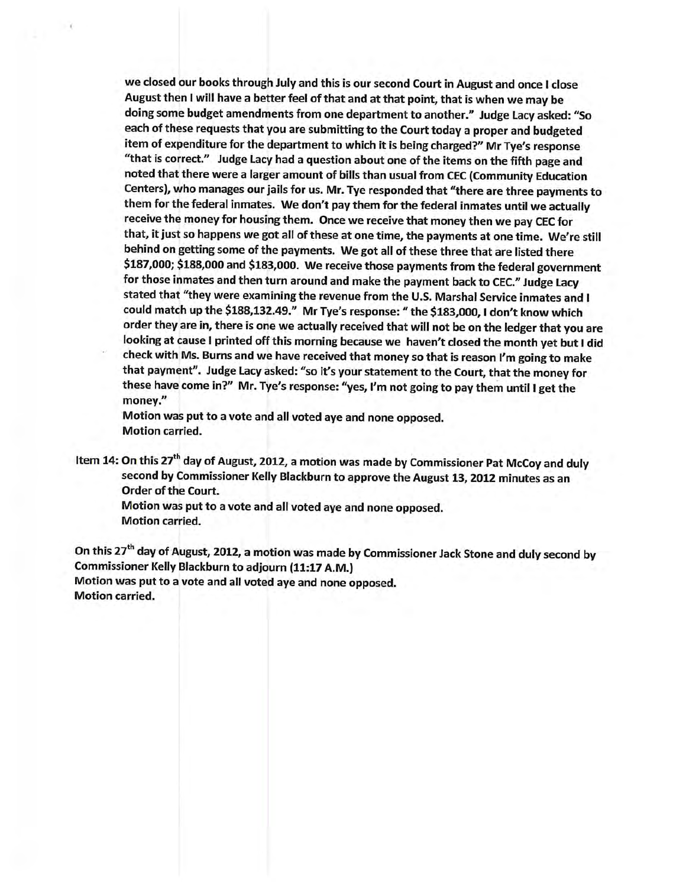we closed our books through July and this is our second Court in August and once I close August then I will have a better feel of that and at that point, that is when we may be doing some budget amendments from one department to another." Judge Lacy asked: "So each of these requests that you are submitting to the Court today a proper and budgeted item of expenditure for the department to which it is being charged?" Mr Tye's response "that is correct." Judge Lacy had a question about one of the items on the fifth page and noted that there were a larger amount of bills than usual from CEC (Community Education Centers), who manages our jails for us. Mr. Tye responded that "there are three payments to them for the federal inmates. We don't pay them for the federal inmates until we actually receive the money for housing them. Once we receive that money then we pay CEC for that, it just so happens we got all of these at one time, the payments at one time. We're still behind on getting some of the payments. We got all of these three that are listed there \$187,000; \$188,000 and \$183,000. We receive those payments from the federal government for those inmates and then turn around and make the payment back to CEC." Judge Lacy stated that "they were examining the revenue from the U.S. Marshal Service inmates and I could match up the \$188,132.49." Mr Tye's response: " the \$183,000, I don't know which order they are in, there is one we actually received that will not be on the ledger that you are looking at cause I printed off this morning because we haven't closed the month yet but I did check with Ms. Burns and we have received that money so that is reason I'm going to make that payment". Judge Lacy asked: "so it's your statement to the Court, that the money for these have come in?" Mr. Tye's response: "yes, I'm not going to pay them until I get the money."

Motion was put to a vote and all voted aye and none opposed. **Motion carried.** 

Item 14: On this 27<sup>th</sup> day of August, 2012, a motion was made by Commissioner Pat McCoy and duly second by Commissioner Kelly Blackburn to approve the August 13, 2012 minutes as an **Order of the Court.** 

Motion was put to a vote and all voted aye and none opposed. **Motion carried.** 

On this 27<sup>th</sup> day of August, 2012, a motion was made by Commissioner Jack Stone and duly second by Commissioner Kelly Blackburn to adjourn (11:17 A.M.) Motion was put to a vote and all voted aye and none opposed. **Motion carried.**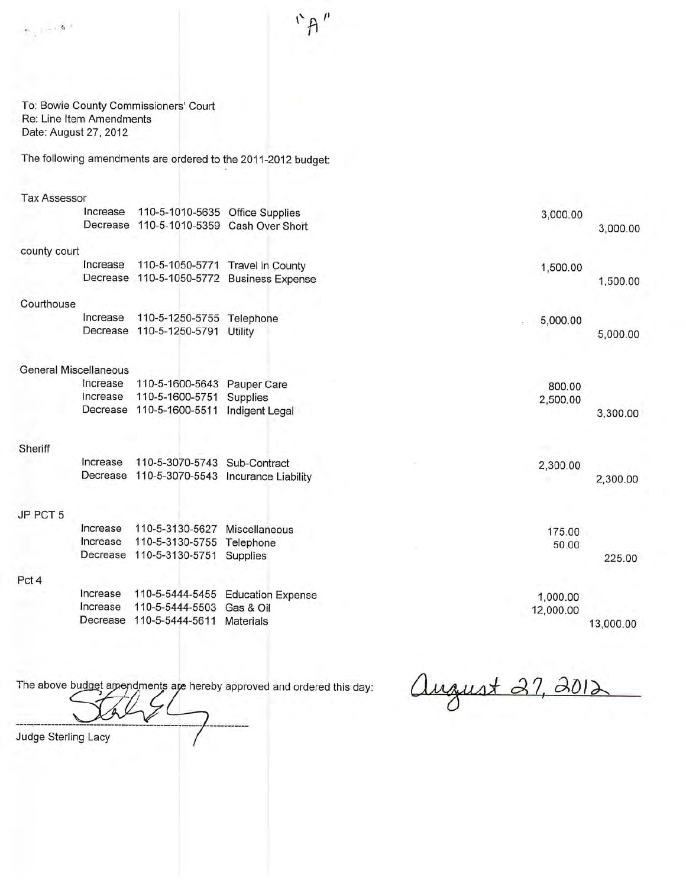$"A"$ 

To: Bowie County Commissioners' Court Re: Line Item Amendments Date: August 27, 2012

The following amendments are ordered to the 2011-2012 budget:

| <b>Tax Assessor</b> |
|---------------------|
|                     |

 $\mathfrak{H}_{\mathbb{Z}}\oplus \mathfrak{H}^{\otimes \mathbb{Z}}$ 

|              | Increase                     | 110-5-1010-5635 Office Supplies | 3,000.00                                     |           |
|--------------|------------------------------|---------------------------------|----------------------------------------------|-----------|
|              | Decrease                     | 110-5-1010-5359                 | Cash Over Short                              | 3,000.00  |
| county court |                              |                                 |                                              |           |
|              | Increase                     |                                 | 110-5-1050-5771 Travel in County<br>1,500.00 |           |
|              | Decrease                     | 110-5-1050-5772                 | <b>Business Expense</b>                      | 1,500.00  |
| Courthouse   |                              |                                 |                                              |           |
|              | Increase                     | 110-5-1250-5755 Telephone       | 5,000.00                                     |           |
|              | Decrease                     | 110-5-1250-5791 Utility         |                                              | 5,000.00  |
|              | <b>General Miscellaneous</b> |                                 |                                              |           |
|              | Increase                     | 110-5-1600-5643                 | Pauper Care<br>800.00                        |           |
|              | Increase                     | 110-5-1600-5751                 | Supplies<br>2,500.00                         |           |
|              | Decrease                     | 110-5-1600-5511                 | Indigent Legal                               | 3,300.00  |
|              |                              |                                 |                                              |           |
| Sheriff      |                              |                                 |                                              |           |
|              | Increase                     | 110-5-3070-5743                 | Sub-Contract<br>2,300.00                     |           |
|              | Decrease                     | 110-5-3070-5543                 | <b>Incurance Liability</b>                   | 2,300.00  |
| JP PCT 5     |                              |                                 |                                              |           |
|              | Increase                     | 110-5-3130-5627                 | Miscellaneous<br>175.00                      |           |
|              | Increase                     | 110-5-3130-5755                 | Telephone<br>50.00                           |           |
|              | Decrease                     | 110-5-3130-5751                 | Supplies                                     | 225.00    |
| Pct 4        |                              |                                 |                                              |           |
|              | Increase                     | 110-5-5444-5455                 | <b>Education Expense</b><br>1,000.00         |           |
|              | Increase                     | 110-5-5444-5503                 | Gas & Oil<br>12,000.00                       |           |
|              | Decrease                     | 110-5-5444-5611                 | <b>Materials</b>                             | 13,000.00 |
|              |                              |                                 |                                              |           |

The above budget amendments are hereby approved and ordered this day:

august 27, 2012

Judge Sterling Lacy